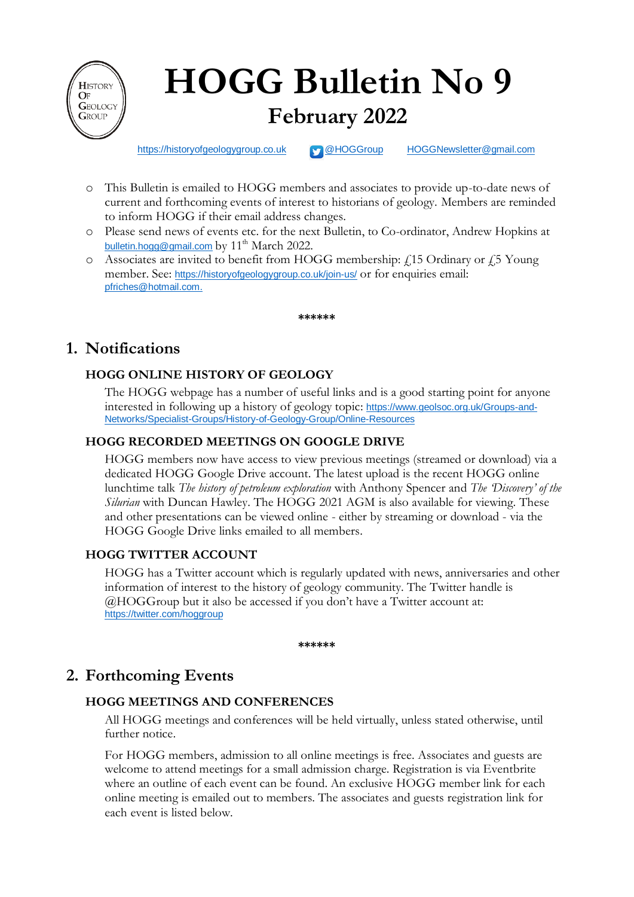

# **HOGG Bulletin No 9 February 2022**

[https://historyofgeologygroup.co.uk](https://historyofgeologygroup.co.uk/) **[@HOGGroup](https://twitter.com/hoggroup?lang=en) [HOGGNewsletter@gmail.com](mailto:HOGGNewsletter@gmail.com)** 

- o This Bulletin is emailed to HOGG members and associates to provide up-to-date news of current and forthcoming events of interest to historians of geology. Members are reminded to inform HOGG if their email address changes.
- o Please send news of events etc. for the next Bulletin, to Co-ordinator, Andrew Hopkins at [bulletin.hogg@gmail.com](mailto:bulletin.hogg@gmail.com) by 11<sup>th</sup> March 2022.
- $\circ$  Associates are invited to benefit from HOGG membership:  $\angle$  15 Ordinary or  $\angle$  5 Young member. See: <https://historyofgeologygroup.co.uk/join-us/> or for enquiries email: [pfriches@hotmail.com.](mailto:pfriches@hotmail.com)

**\*\*\*\*\*\***

# **1. Notifications**

# **HOGG ONLINE HISTORY OF GEOLOGY**

The HOGG webpage has a number of useful links and is a good starting point for anyone interested in following up a history of geology topic: [https://www.geolsoc.org.uk/Groups-and-](https://www.geolsoc.org.uk/Groups-and-Networks/Specialist-Groups/History-of-Geology-Group/Online-Resources)[Networks/Specialist-Groups/History-of-Geology-Group/Online-Resources](https://www.geolsoc.org.uk/Groups-and-Networks/Specialist-Groups/History-of-Geology-Group/Online-Resources)

# **HOGG RECORDED MEETINGS ON GOOGLE DRIVE**

HOGG members now have access to view previous meetings (streamed or download) via a dedicated HOGG Google Drive account. The latest upload is the recent HOGG online lunchtime talk *The history of petroleum exploration* with Anthony Spencer and *The 'Discovery' of the Silurian* with Duncan Hawley. The HOGG 2021 AGM is also available for viewing. These and other presentations can be viewed online - either by streaming or download - via the HOGG Google Drive links emailed to all members.

## **HOGG TWITTER ACCOUNT**

HOGG has a Twitter account which is regularly updated with news, anniversaries and other information of interest to the history of geology community. The Twitter handle is @HOGGroup but it also be accessed if you don't have a Twitter account at: <https://twitter.com/hoggroup>

**\*\*\*\*\*\***

# **2. Forthcoming Events**

## **HOGG MEETINGS AND CONFERENCES**

All HOGG meetings and conferences will be held virtually, unless stated otherwise, until further notice.

For HOGG members, admission to all online meetings is free. Associates and guests are welcome to attend meetings for a small admission charge. Registration is via Eventbrite where an outline of each event can be found. An exclusive HOGG member link for each online meeting is emailed out to members. The associates and guests registration link for each event is listed below.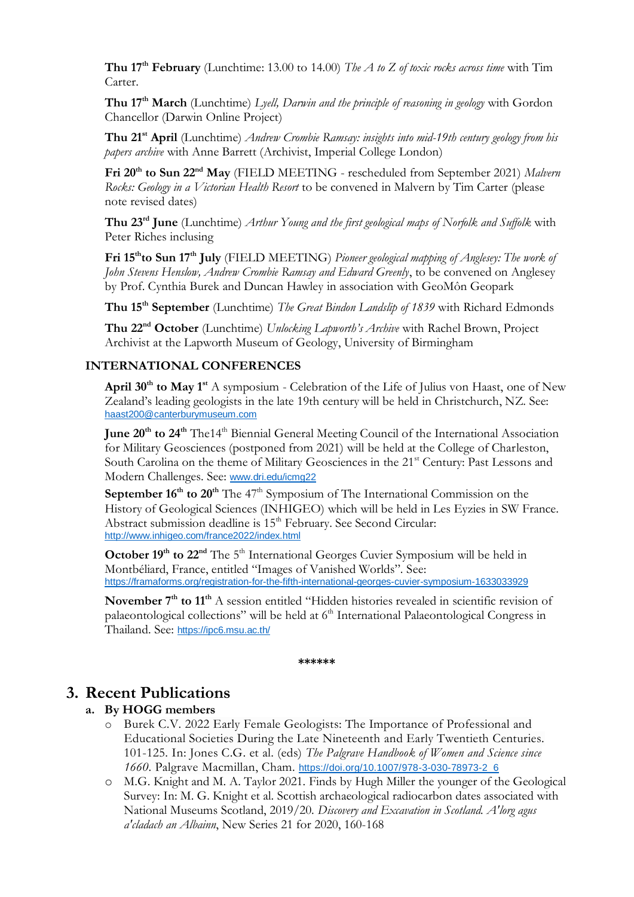**Thu 17th February** (Lunchtime: 13.00 to 14.00) *The A to Z of toxic rocks across time* with Tim Carter.

**Thu 17th March** (Lunchtime) *Lyell, Darwin and the principle of reasoning in geology* with Gordon Chancellor (Darwin Online Project)

**Thu 21st April** (Lunchtime) *Andrew Crombie Ramsay: insights into mid-19th century geology from his papers archive* with Anne Barrett (Archivist, Imperial College London)

Fri 20<sup>th</sup> to Sun 22<sup>nd</sup> May (FIELD MEETING - rescheduled from September 2021) Malvern *Rocks: Geology in a Victorian Health Resort* to be convened in Malvern by Tim Carter (please note revised dates)

**Thu 23rd June** (Lunchtime) *Arthur Young and the first geological maps of Norfolk and Suffolk* with Peter Riches inclusing

**Fri 15thto Sun 17 th July** (FIELD MEETING) *Pioneer geological mapping of Anglesey: The work of John Stevens Henslow, Andrew Crombie Ramsay and Edward Greenly*, to be convened on Anglesey by Prof. Cynthia Burek and Duncan Hawley in association with GeoMôn Geopark

**Thu 15th September** (Lunchtime) *The Great Bindon Landslip of 1839* with Richard Edmonds

**Thu 22nd October** (Lunchtime) *Unlocking Lapworth's Archive* with Rachel Brown, Project Archivist at the Lapworth Museum of Geology, University of Birmingham

#### **INTERNATIONAL CONFERENCES**

**April 30th to May 1st** A symposium - Celebration of the Life of Julius von Haast, one of New Zealand's leading geologists in the late 19th century will be held in Christchurch, NZ. See: [haast200@canterburymuseum.com](mailto:haast200@canterburymuseum.com)

**June 20th to 24th** The14th Biennial General Meeting Council of the International Association for Military Geosciences (postponed from 2021) will be held at the College of Charleston, South Carolina on the theme of Military Geosciences in the 21<sup>st</sup> Century: Past Lessons and Modern Challenges. See: [www.dri.edu/icmg22](http://www.dri.edu/icmg22)

**September 16<sup>th</sup> to 20<sup>th</sup>** The 47<sup>th</sup> Symposium of The International Commission on the History of Geological Sciences (INHIGEO) which will be held in Les Eyzies in SW France. Abstract submission deadline is 15<sup>th</sup> February. See Second Circular: <http://www.inhigeo.com/france2022/index.html>

**October 19<sup>th</sup> to 22<sup>nd</sup>** The 5<sup>th</sup> International Georges Cuvier Symposium will be held in Montbéliard, France, entitled "Images of Vanished Worlds". See: <https://framaforms.org/registration-for-the-fifth-international-georges-cuvier-symposium-1633033929>

**November 7th to 11th** A session entitled "Hidden histories revealed in scientific revision of palaeontological collections" will be held at  $6<sup>th</sup>$  International Palaeontological Congress in Thailand. See: <https://ipc6.msu.ac.th/>

**\*\*\*\*\*\***

# **3. Recent Publications**

#### **a. By HOGG members**

- o Burek C.V. 2022 Early Female Geologists: The Importance of Professional and Educational Societies During the Late Nineteenth and Early Twentieth Centuries. 101-125. In: Jones C.G. et al. (eds) *The Palgrave Handbook of Women and Science since 1660*. Palgrave Macmillan, Cham. [https://doi.org/10.1007/978-3-030-78973-2\\_6](https://doi.org/10.1007/978-3-030-78973-2_6)
- o M.G. Knight and M. A. Taylor 2021. Finds by Hugh Miller the younger of the Geological Survey: In: M. G. Knight et al. Scottish archaeological radiocarbon dates associated with National Museums Scotland, 2019/20. *Discovery and Excavation in Scotland. A'lorg agus a'cladach an Albainn*, New Series 21 for 2020, 160-168